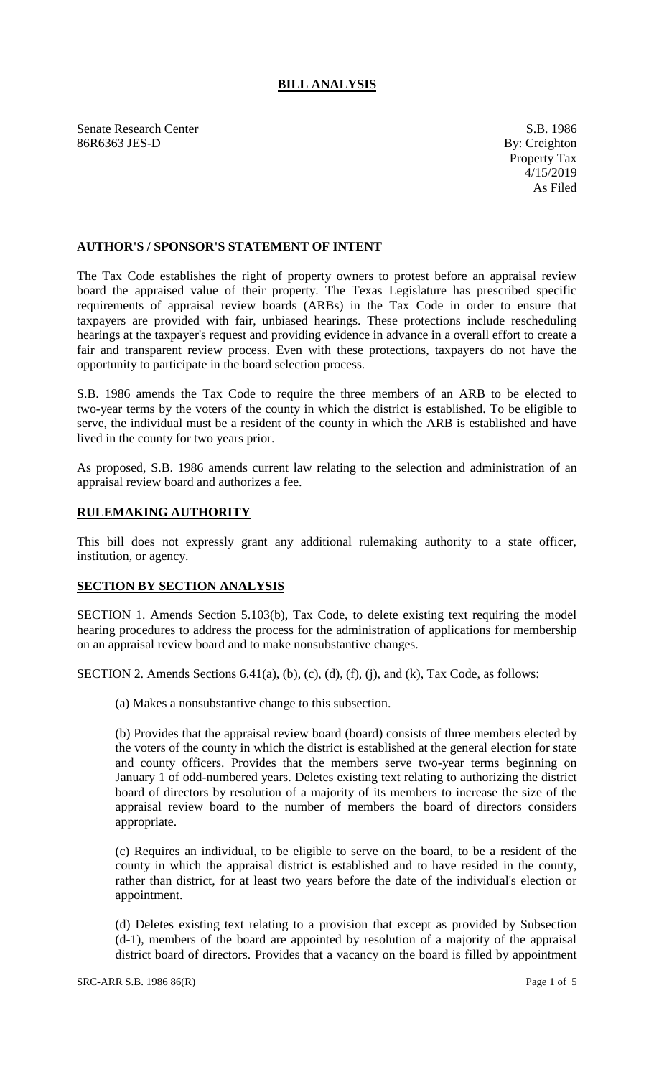## **BILL ANALYSIS**

Senate Research Center S.B. 1986 86R6363 JES-D By: Creighton

## **AUTHOR'S / SPONSOR'S STATEMENT OF INTENT**

The Tax Code establishes the right of property owners to protest before an appraisal review board the appraised value of their property. The Texas Legislature has prescribed specific requirements of appraisal review boards (ARBs) in the Tax Code in order to ensure that taxpayers are provided with fair, unbiased hearings. These protections include rescheduling hearings at the taxpayer's request and providing evidence in advance in a overall effort to create a fair and transparent review process. Even with these protections, taxpayers do not have the opportunity to participate in the board selection process.

S.B. 1986 amends the Tax Code to require the three members of an ARB to be elected to two-year terms by the voters of the county in which the district is established. To be eligible to serve, the individual must be a resident of the county in which the ARB is established and have lived in the county for two years prior.

As proposed, S.B. 1986 amends current law relating to the selection and administration of an appraisal review board and authorizes a fee.

## **RULEMAKING AUTHORITY**

This bill does not expressly grant any additional rulemaking authority to a state officer, institution, or agency.

## **SECTION BY SECTION ANALYSIS**

SECTION 1. Amends Section 5.103(b), Tax Code, to delete existing text requiring the model hearing procedures to address the process for the administration of applications for membership on an appraisal review board and to make nonsubstantive changes.

SECTION 2. Amends Sections  $6.41(a)$ ,  $(b)$ ,  $(c)$ ,  $(d)$ ,  $(f)$ ,  $(j)$ , and  $(k)$ , Tax Code, as follows:

(a) Makes a nonsubstantive change to this subsection.

(b) Provides that the appraisal review board (board) consists of three members elected by the voters of the county in which the district is established at the general election for state and county officers. Provides that the members serve two-year terms beginning on January 1 of odd-numbered years. Deletes existing text relating to authorizing the district board of directors by resolution of a majority of its members to increase the size of the appraisal review board to the number of members the board of directors considers appropriate.

(c) Requires an individual, to be eligible to serve on the board, to be a resident of the county in which the appraisal district is established and to have resided in the county, rather than district, for at least two years before the date of the individual's election or appointment.

(d) Deletes existing text relating to a provision that except as provided by Subsection (d-1), members of the board are appointed by resolution of a majority of the appraisal district board of directors. Provides that a vacancy on the board is filled by appointment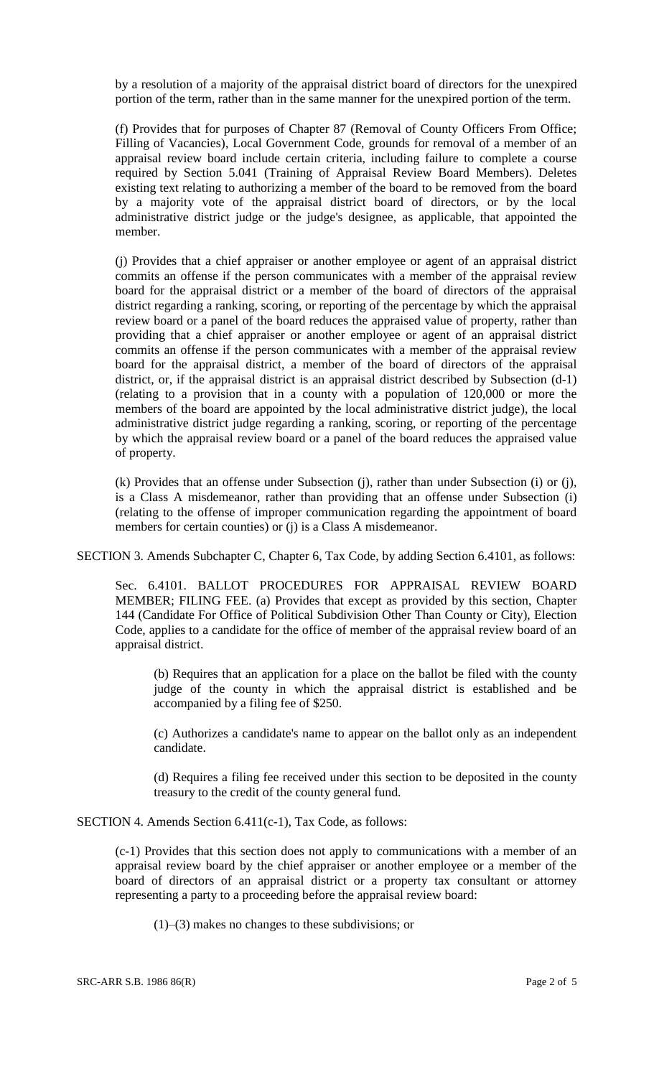by a resolution of a majority of the appraisal district board of directors for the unexpired portion of the term, rather than in the same manner for the unexpired portion of the term.

(f) Provides that for purposes of Chapter 87 (Removal of County Officers From Office; Filling of Vacancies), Local Government Code, grounds for removal of a member of an appraisal review board include certain criteria, including failure to complete a course required by Section 5.041 (Training of Appraisal Review Board Members). Deletes existing text relating to authorizing a member of the board to be removed from the board by a majority vote of the appraisal district board of directors, or by the local administrative district judge or the judge's designee, as applicable, that appointed the member.

(j) Provides that a chief appraiser or another employee or agent of an appraisal district commits an offense if the person communicates with a member of the appraisal review board for the appraisal district or a member of the board of directors of the appraisal district regarding a ranking, scoring, or reporting of the percentage by which the appraisal review board or a panel of the board reduces the appraised value of property, rather than providing that a chief appraiser or another employee or agent of an appraisal district commits an offense if the person communicates with a member of the appraisal review board for the appraisal district, a member of the board of directors of the appraisal district, or, if the appraisal district is an appraisal district described by Subsection (d-1) (relating to a provision that in a county with a population of 120,000 or more the members of the board are appointed by the local administrative district judge), the local administrative district judge regarding a ranking, scoring, or reporting of the percentage by which the appraisal review board or a panel of the board reduces the appraised value of property.

(k) Provides that an offense under Subsection (j), rather than under Subsection (i) or (j), is a Class A misdemeanor, rather than providing that an offense under Subsection (i) (relating to the offense of improper communication regarding the appointment of board members for certain counties) or (j) is a Class A misdemeanor.

SECTION 3. Amends Subchapter C, Chapter 6, Tax Code, by adding Section 6.4101, as follows:

Sec. 6.4101. BALLOT PROCEDURES FOR APPRAISAL REVIEW BOARD MEMBER; FILING FEE. (a) Provides that except as provided by this section, Chapter 144 (Candidate For Office of Political Subdivision Other Than County or City), Election Code, applies to a candidate for the office of member of the appraisal review board of an appraisal district.

(b) Requires that an application for a place on the ballot be filed with the county judge of the county in which the appraisal district is established and be accompanied by a filing fee of \$250.

(c) Authorizes a candidate's name to appear on the ballot only as an independent candidate.

(d) Requires a filing fee received under this section to be deposited in the county treasury to the credit of the county general fund.

SECTION 4. Amends Section 6.411(c-1), Tax Code, as follows:

(c-1) Provides that this section does not apply to communications with a member of an appraisal review board by the chief appraiser or another employee or a member of the board of directors of an appraisal district or a property tax consultant or attorney representing a party to a proceeding before the appraisal review board:

(1)–(3) makes no changes to these subdivisions; or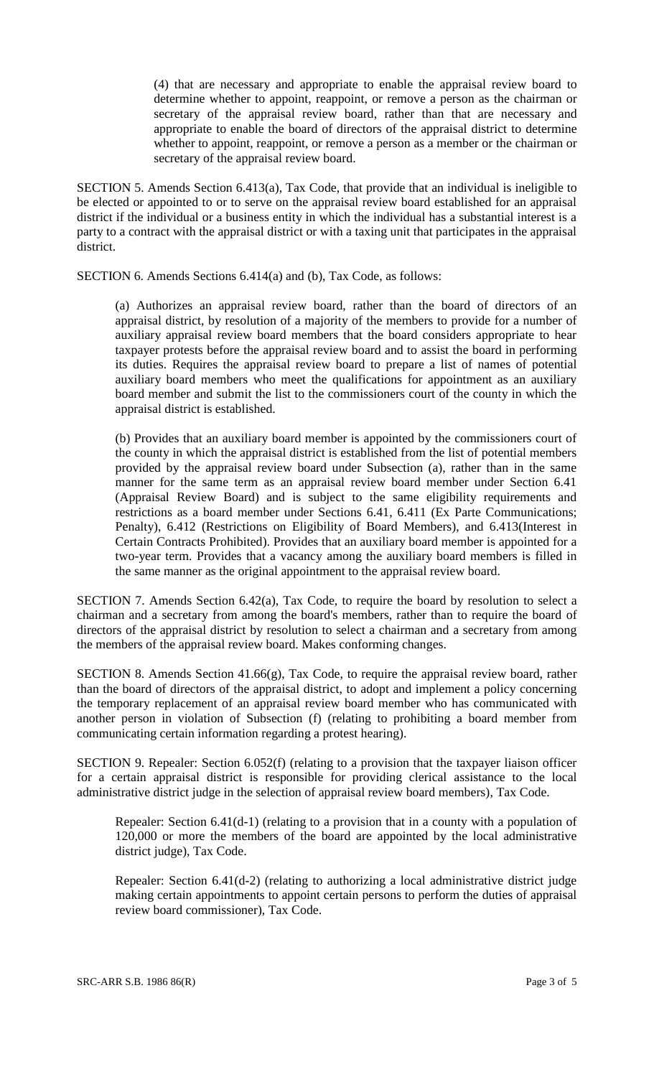(4) that are necessary and appropriate to enable the appraisal review board to determine whether to appoint, reappoint, or remove a person as the chairman or secretary of the appraisal review board, rather than that are necessary and appropriate to enable the board of directors of the appraisal district to determine whether to appoint, reappoint, or remove a person as a member or the chairman or secretary of the appraisal review board.

SECTION 5. Amends Section 6.413(a), Tax Code, that provide that an individual is ineligible to be elected or appointed to or to serve on the appraisal review board established for an appraisal district if the individual or a business entity in which the individual has a substantial interest is a party to a contract with the appraisal district or with a taxing unit that participates in the appraisal district.

SECTION 6. Amends Sections 6.414(a) and (b), Tax Code, as follows:

(a) Authorizes an appraisal review board, rather than the board of directors of an appraisal district, by resolution of a majority of the members to provide for a number of auxiliary appraisal review board members that the board considers appropriate to hear taxpayer protests before the appraisal review board and to assist the board in performing its duties. Requires the appraisal review board to prepare a list of names of potential auxiliary board members who meet the qualifications for appointment as an auxiliary board member and submit the list to the commissioners court of the county in which the appraisal district is established.

(b) Provides that an auxiliary board member is appointed by the commissioners court of the county in which the appraisal district is established from the list of potential members provided by the appraisal review board under Subsection (a), rather than in the same manner for the same term as an appraisal review board member under Section 6.41 (Appraisal Review Board) and is subject to the same eligibility requirements and restrictions as a board member under Sections 6.41, 6.411 (Ex Parte Communications; Penalty), 6.412 (Restrictions on Eligibility of Board Members), and 6.413(Interest in Certain Contracts Prohibited). Provides that an auxiliary board member is appointed for a two-year term. Provides that a vacancy among the auxiliary board members is filled in the same manner as the original appointment to the appraisal review board.

SECTION 7. Amends Section 6.42(a), Tax Code, to require the board by resolution to select a chairman and a secretary from among the board's members, rather than to require the board of directors of the appraisal district by resolution to select a chairman and a secretary from among the members of the appraisal review board. Makes conforming changes.

SECTION 8. Amends Section 41.66(g), Tax Code, to require the appraisal review board, rather than the board of directors of the appraisal district, to adopt and implement a policy concerning the temporary replacement of an appraisal review board member who has communicated with another person in violation of Subsection (f) (relating to prohibiting a board member from communicating certain information regarding a protest hearing).

SECTION 9. Repealer: Section 6.052(f) (relating to a provision that the taxpayer liaison officer for a certain appraisal district is responsible for providing clerical assistance to the local administrative district judge in the selection of appraisal review board members), Tax Code.

Repealer: Section 6.41(d-1) (relating to a provision that in a county with a population of 120,000 or more the members of the board are appointed by the local administrative district judge), Tax Code.

Repealer: Section 6.41(d-2) (relating to authorizing a local administrative district judge making certain appointments to appoint certain persons to perform the duties of appraisal review board commissioner), Tax Code.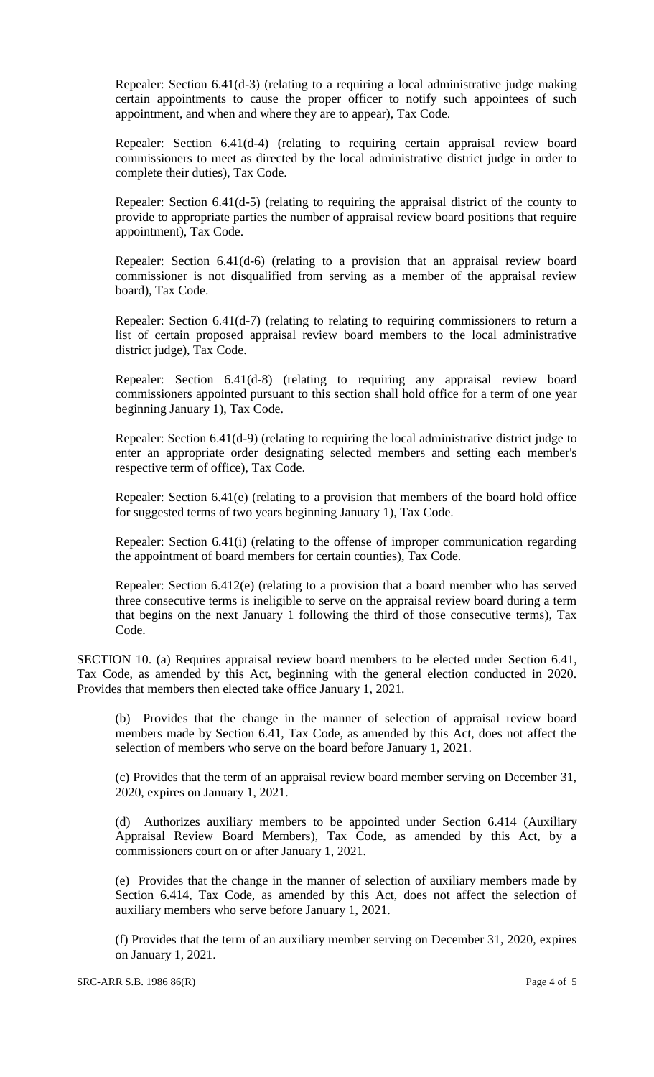Repealer: Section 6.41(d-3) (relating to a requiring a local administrative judge making certain appointments to cause the proper officer to notify such appointees of such appointment, and when and where they are to appear), Tax Code.

Repealer: Section 6.41(d-4) (relating to requiring certain appraisal review board commissioners to meet as directed by the local administrative district judge in order to complete their duties), Tax Code.

Repealer: Section 6.41(d-5) (relating to requiring the appraisal district of the county to provide to appropriate parties the number of appraisal review board positions that require appointment), Tax Code.

Repealer: Section 6.41(d-6) (relating to a provision that an appraisal review board commissioner is not disqualified from serving as a member of the appraisal review board), Tax Code.

Repealer: Section 6.41(d-7) (relating to relating to requiring commissioners to return a list of certain proposed appraisal review board members to the local administrative district judge), Tax Code.

Repealer: Section 6.41(d-8) (relating to requiring any appraisal review board commissioners appointed pursuant to this section shall hold office for a term of one year beginning January 1), Tax Code.

Repealer: Section 6.41(d-9) (relating to requiring the local administrative district judge to enter an appropriate order designating selected members and setting each member's respective term of office), Tax Code.

Repealer: Section 6.41(e) (relating to a provision that members of the board hold office for suggested terms of two years beginning January 1), Tax Code.

Repealer: Section 6.41(i) (relating to the offense of improper communication regarding the appointment of board members for certain counties), Tax Code.

Repealer: Section 6.412(e) (relating to a provision that a board member who has served three consecutive terms is ineligible to serve on the appraisal review board during a term that begins on the next January 1 following the third of those consecutive terms), Tax Code.

SECTION 10. (a) Requires appraisal review board members to be elected under Section 6.41, Tax Code, as amended by this Act, beginning with the general election conducted in 2020. Provides that members then elected take office January 1, 2021.

(b) Provides that the change in the manner of selection of appraisal review board members made by Section 6.41, Tax Code, as amended by this Act, does not affect the selection of members who serve on the board before January 1, 2021.

(c) Provides that the term of an appraisal review board member serving on December 31, 2020, expires on January 1, 2021.

(d) Authorizes auxiliary members to be appointed under Section 6.414 (Auxiliary Appraisal Review Board Members), Tax Code, as amended by this Act, by a commissioners court on or after January 1, 2021.

(e) Provides that the change in the manner of selection of auxiliary members made by Section 6.414, Tax Code, as amended by this Act, does not affect the selection of auxiliary members who serve before January 1, 2021.

(f) Provides that the term of an auxiliary member serving on December 31, 2020, expires on January 1, 2021.